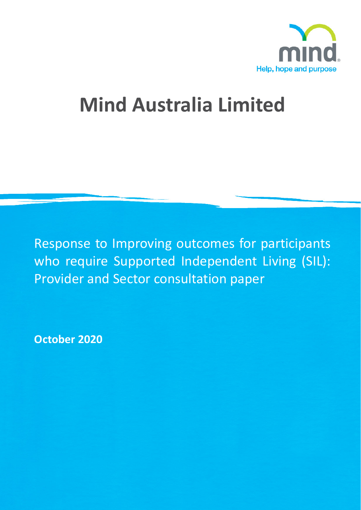

# **Mind Australia Limited**

Response to Improving outcomes for participants who require Supported Independent Living (SIL): Provider and Sector consultation paper

**October 2020**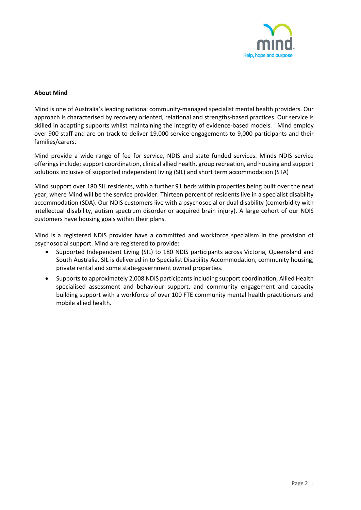

# **About Mind**

Mind is one of Australia's leading national community-managed specialist mental health providers. Our approach is characterised by recovery oriented, relational and strengths-based practices. Our service is skilled in adapting supports whilst maintaining the integrity of evidence-based models. Mind employ over 900 staff and are on track to deliver 19,000 service engagements to 9,000 participants and their families/carers.

Mind provide a wide range of fee for service, NDIS and state funded services. Minds NDIS service offerings include; support coordination, clinical allied health, group recreation, and housing and support solutions inclusive of supported independent living (SIL) and short term accommodation (STA)

Mind support over 180 SIL residents, with a further 91 beds within properties being built over the next year, where Mind will be the service provider. Thirteen percent of residents live in a specialist disability accommodation (SDA). Our NDIS customers live with a psychosocial or dual disability (comorbidity with intellectual disability, autism spectrum disorder or acquired brain injury). A large cohort of our NDIS customers have housing goals within their plans.

Mind is a registered NDIS provider have a committed and workforce specialism in the provision of psychosocial support. Mind are registered to provide:

- Supported Independent Living (SIL) to 180 NDIS participants across Victoria, Queensland and South Australia. SIL is delivered in to Specialist Disability Accommodation, community housing, private rental and some state-government owned properties.
- Supports to approximately 2,008 NDIS participants including support coordination, Allied Health specialised assessment and behaviour support, and community engagement and capacity building support with a workforce of over 100 FTE community mental health practitioners and mobile allied health.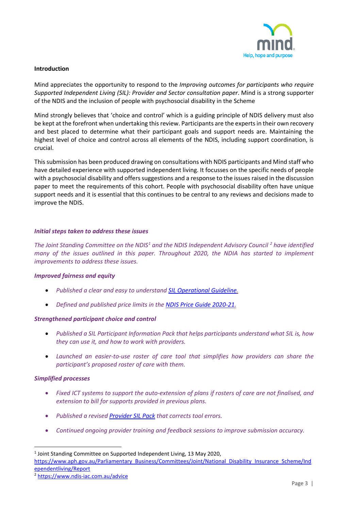

## **Introduction**

Mind appreciates the opportunity to respond to the *Improving outcomes for participants who require Supported Independent Living (SIL): Provider and Sector consultation paper*. Mind is a strong supporter of the NDIS and the inclusion of people with psychosocial disability in the Scheme

Mind strongly believes that 'choice and control' which is a guiding principle of NDIS delivery must also be kept at the forefront when undertaking this review. Participants are the experts in their own recovery and best placed to determine what their participant goals and support needs are. Maintaining the highest level of choice and control across all elements of the NDIS, including support coordination, is crucial.

This submission has been produced drawing on consultations with NDIS participants and Mind staff who have detailed experience with supported independent living. It focusses on the specific needs of people with a psychosocial disability and offers suggestions and a response to the issues raised in the discussion paper to meet the requirements of this cohort. People with psychosocial disability often have unique support needs and it is essential that this continues to be central to any reviews and decisions made to improve the NDIS.

#### *Initial steps taken to address these issues*

*The Joint Standing Committee on the NDIS[1](#page-2-0) and the NDIS Independent Advisory Council [2](#page-2-1) have identified many of the issues outlined in this paper. Throughout 2020, the NDIA has started to implement improvements to address these issues.* 

# *Improved fairness and equity*

- *Published a clear and easy to understand [SIL Operational Guideline.](https://www.ndis.gov.au/about-us/operational-guidelines/supported-independent-living-operational-guideline)*
- *Defined and published price limits in the [NDIS Price Guide 2020-21.](https://www.ndis.gov.au/providers/price-guides-and-pricing)*

# *Strengthened participant choice and control*

- *Published a SIL Participant Information Pack that helps participants understand what SIL is, how they can use it, and how to work with providers.*
- *Launched an easier-to-use roster of care tool that simplifies how providers can share the participant's proposed roster of care with them.*

# *Simplified processes*

- *Fixed ICT systems to support the auto-extension of plans if rosters of care are not finalised, and extension to bill for supports provided in previous plans.*
- *Published a revised [Provider SIL Pack](https://www.ndis.gov.au/providers/housing-and-living-supports-and-services/housing/supported-independent-living#provider-sil-pack) that corrects tool errors.*
- *Continued ongoing provider training and feedback sessions to improve submission accuracy.*

<span id="page-2-0"></span><sup>1</sup> Joint Standing Committee on Supported Independent Living, 13 May 2020, [https://www.aph.gov.au/Parliamentary\\_Business/Committees/Joint/National\\_Disability\\_Insurance\\_Scheme/Ind](https://www.aph.gov.au/Parliamentary_Business/Committees/Joint/National_Disability_Insurance_Scheme/Independentliving/Report) [ependentliving/Report](https://www.aph.gov.au/Parliamentary_Business/Committees/Joint/National_Disability_Insurance_Scheme/Independentliving/Report)

<span id="page-2-1"></span><sup>2</sup> <https://www.ndis-iac.com.au/advice>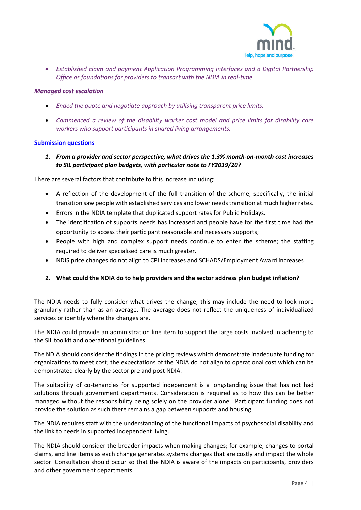

• *Established claim and payment Application Programming Interfaces and a Digital Partnership Office as foundations for providers to transact with the NDIA in real-time.*

## *Managed cost escalation*

- *Ended the quote and negotiate approach by utilising transparent price limits.*
- *Commenced a review of the disability worker cost model and price limits for disability care workers who support participants in shared living arrangements.*

## **Submission questions**

*1. From a provider and sector perspective, what drives the 1.3% month-on-month cost increases to SIL participant plan budgets, with particular note to FY2019/20?*

There are several factors that contribute to this increase including:

- A reflection of the development of the full transition of the scheme; specifically, the initial transition saw people with established services and lower needs transition at much higher rates.
- Errors in the NDIA template that duplicated support rates for Public Holidays.
- The identification of supports needs has increased and people have for the first time had the opportunity to access their participant reasonable and necessary supports;
- People with high and complex support needs continue to enter the scheme; the staffing required to deliver specialised care is much greater.
- NDIS price changes do not align to CPI increases and SCHADS/Employment Award increases.

# **2. What could the NDIA do to help providers and the sector address plan budget inflation?**

The NDIA needs to fully consider what drives the change; this may include the need to look more granularly rather than as an average. The average does not reflect the uniqueness of individualized services or identify where the changes are.

The NDIA could provide an administration line item to support the large costs involved in adhering to the SIL toolkit and operational guidelines.

The NDIA should consider the findings in the pricing reviews which demonstrate inadequate funding for organizations to meet cost; the expectations of the NDIA do not align to operational cost which can be demonstrated clearly by the sector pre and post NDIA.

The suitability of co-tenancies for supported independent is a longstanding issue that has not had solutions through government departments. Consideration is required as to how this can be better managed without the responsibility being solely on the provider alone. Participant funding does not provide the solution as such there remains a gap between supports and housing.

The NDIA requires staff with the understanding of the functional impacts of psychosocial disability and the link to needs in supported independent living.

The NDIA should consider the broader impacts when making changes; for example, changes to portal claims, and line items as each change generates systems changes that are costly and impact the whole sector. Consultation should occur so that the NDIA is aware of the impacts on participants, providers and other government departments.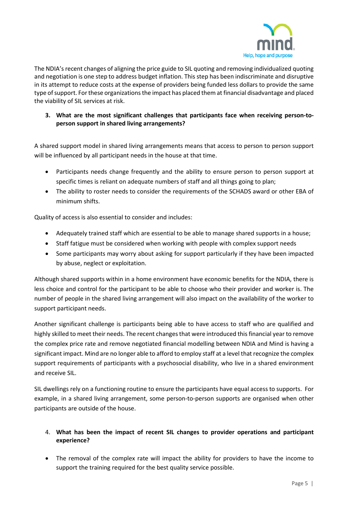

The NDIA's recent changes of aligning the price guide to SIL quoting and removing individualized quoting and negotiation is one step to address budget inflation. This step has been indiscriminate and disruptive in its attempt to reduce costs at the expense of providers being funded less dollars to provide the same type of support. For these organizations the impact has placed them at financial disadvantage and placed the viability of SIL services at risk.

# **3. What are the most significant challenges that participants face when receiving person-toperson support in shared living arrangements?**

A shared support model in shared living arrangements means that access to person to person support will be influenced by all participant needs in the house at that time.

- Participants needs change frequently and the ability to ensure person to person support at specific times is reliant on adequate numbers of staff and all things going to plan;
- The ability to roster needs to consider the requirements of the SCHADS award or other EBA of minimum shifts.

Quality of access is also essential to consider and includes:

- Adequately trained staff which are essential to be able to manage shared supports in a house;
- Staff fatigue must be considered when working with people with complex support needs
- Some participants may worry about asking for support particularly if they have been impacted by abuse, neglect or exploitation.

Although shared supports within in a home environment have economic benefits for the NDIA, there is less choice and control for the participant to be able to choose who their provider and worker is. The number of people in the shared living arrangement will also impact on the availability of the worker to support participant needs.

Another significant challenge is participants being able to have access to staff who are qualified and highly skilled to meet their needs. The recent changes that were introduced this financial year to remove the complex price rate and remove negotiated financial modelling between NDIA and Mind is having a significant impact. Mind are no longer able to afford to employ staff at a level that recognize the complex support requirements of participants with a psychosocial disability, who live in a shared environment and receive SIL.

SIL dwellings rely on a functioning routine to ensure the participants have equal access to supports. For example, in a shared living arrangement, some person-to-person supports are organised when other participants are outside of the house.

# 4. **What has been the impact of recent SIL changes to provider operations and participant experience?**

• The removal of the complex rate will impact the ability for providers to have the income to support the training required for the best quality service possible.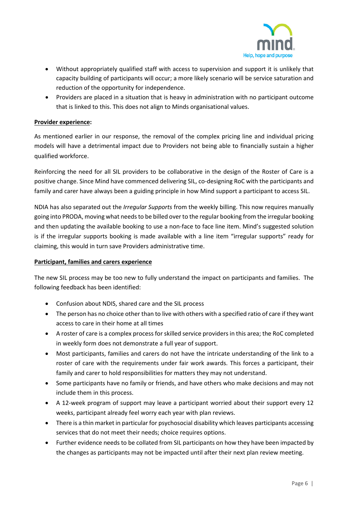

- Without appropriately qualified staff with access to supervision and support it is unlikely that capacity building of participants will occur; a more likely scenario will be service saturation and reduction of the opportunity for independence.
- Providers are placed in a situation that is heavy in administration with no participant outcome that is linked to this. This does not align to Minds organisational values.

# **Provider experience:**

As mentioned earlier in our response, the removal of the complex pricing line and individual pricing models will have a detrimental impact due to Providers not being able to financially sustain a higher qualified workforce.

Reinforcing the need for all SIL providers to be collaborative in the design of the Roster of Care is a positive change. Since Mind have commenced delivering SIL, co-designing RoC with the participants and family and carer have always been a guiding principle in how Mind support a participant to access SIL.

NDIA has also separated out the *Irregular Supports* from the weekly billing. This now requires manually going into PRODA, moving what needs to be billed over to the regular booking from the irregular booking and then updating the available booking to use a non-face to face line item. Mind's suggested solution is if the irregular supports booking is made available with a line item "irregular supports" ready for claiming, this would in turn save Providers administrative time.

# **Participant, families and carers experience**

The new SIL process may be too new to fully understand the impact on participants and families. The following feedback has been identified:

- Confusion about NDIS, shared care and the SIL process
- The person has no choice other than to live with others with a specified ratio of care if they want access to care in their home at all times
- A roster of care is a complex process for skilled service providers in this area; the RoC completed in weekly form does not demonstrate a full year of support.
- Most participants, families and carers do not have the intricate understanding of the link to a roster of care with the requirements under fair work awards. This forces a participant, their family and carer to hold responsibilities for matters they may not understand.
- Some participants have no family or friends, and have others who make decisions and may not include them in this process.
- A 12-week program of support may leave a participant worried about their support every 12 weeks, participant already feel worry each year with plan reviews.
- There is a thin market in particular for psychosocial disability which leaves participants accessing services that do not meet their needs; choice requires options.
- Further evidence needs to be collated from SIL participants on how they have been impacted by the changes as participants may not be impacted until after their next plan review meeting.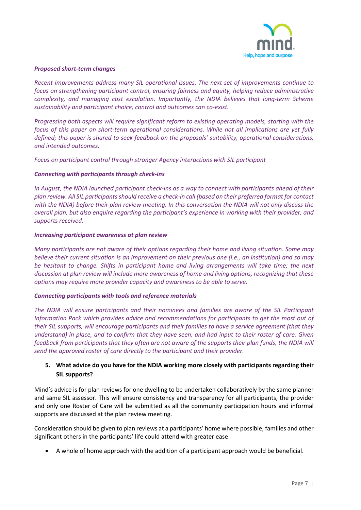

## *Proposed short-term changes*

*Recent improvements address many SIL operational issues. The next set of improvements continue to focus on strengthening participant control, ensuring fairness and equity, helping reduce administrative complexity, and managing cost escalation. Importantly, the NDIA believes that long-term Scheme sustainability and participant choice, control and outcomes can co-exist.* 

*Progressing both aspects will require significant reform to existing operating models, starting with the focus of this paper on short-term operational considerations. While not all implications are yet fully defined; this paper is shared to seek feedback on the proposals' suitability, operational considerations, and intended outcomes.*

*Focus on participant control through stronger Agency interactions with SIL participant*

## *Connecting with participants through check-ins*

*In August, the NDIA launched [participant check-ins](https://www.ndis.gov.au/participants/reviewing-your-plan-and-goals/preparing-your-plan-review#what-to-expect) as a way to connect with participants ahead of their plan review. All SIL participants should receive a check-in call (based on their preferred format for contact with the NDIA) before their plan review meeting. In this conversation the NDIA will not only discuss the overall plan, but also enquire regarding the participant's experience in working with their provider, and supports received.*

## *Increasing participant awareness at plan review*

*Many participants are not aware of their options regarding their home and living situation. Some may believe their current situation is an improvement on their previous one (i.e., an institution) and so may be hesitant to change. Shifts in participant home and living arrangements will take time; the next discussion at plan review will include more awareness of home and living options, recognizing that these options may require more provider capacity and awareness to be able to serve.*

#### *Connecting participants with tools and reference materials*

*The NDIA will ensure participants and their nominees and families are aware of the SIL Participant Information Pack which provides advice and recommendations for participants to get the most out of their SIL supports, will encourage participants and their families to have a service agreement (that they understand) in place, and to confirm that they have seen, and had input to their roster of care. Given feedback from participants that they often are not aware of the supports their plan funds, the NDIA will send the approved roster of care directly to the participant and their provider.*

# **5. What advice do you have for the NDIA working more closely with participants regarding their SIL supports?**

Mind's advice is for plan reviews for one dwelling to be undertaken collaboratively by the same planner and same SIL assessor. This will ensure consistency and transparency for all participants, the provider and only one Roster of Care will be submitted as all the community participation hours and informal supports are discussed at the plan review meeting.

Consideration should be given to plan reviews at a participants' home where possible, families and other significant others in the participants' life could attend with greater ease.

• A whole of home approach with the addition of a participant approach would be beneficial.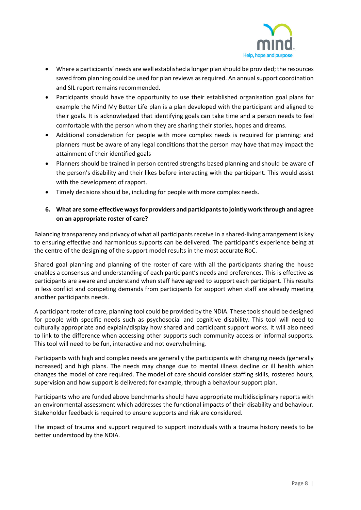

- Where a participants' needs are well established a longer plan should be provided; the resources saved from planning could be used for plan reviews as required. An annual support coordination and SIL report remains recommended.
- Participants should have the opportunity to use their established organisation goal plans for example the Mind My Better Life plan is a plan developed with the participant and aligned to their goals. It is acknowledged that identifying goals can take time and a person needs to feel comfortable with the person whom they are sharing their stories, hopes and dreams.
- Additional consideration for people with more complex needs is required for planning; and planners must be aware of any legal conditions that the person may have that may impact the attainment of their identified goals
- Planners should be trained in person centred strengths based planning and should be aware of the person's disability and their likes before interacting with the participant. This would assist with the development of rapport.
- Timely decisions should be, including for people with more complex needs.

# **6. What are some effective ways for providers and participants to jointly work through and agree on an appropriate roster of care?**

Balancing transparency and privacy of what all participants receive in a shared-living arrangement is key to ensuring effective and harmonious supports can be delivered. The participant's experience being at the centre of the designing of the support model results in the most accurate RoC.

Shared goal planning and planning of the roster of care with all the participants sharing the house enables a consensus and understanding of each participant's needs and preferences. This is effective as participants are aware and understand when staff have agreed to support each participant. This results in less conflict and competing demands from participants for support when staff are already meeting another participants needs.

A participant roster of care, planning tool could be provided by the NDIA. These tools should be designed for people with specific needs such as psychosocial and cognitive disability. This tool will need to culturally appropriate and explain/display how shared and participant support works. It will also need to link to the difference when accessing other supports such community access or informal supports. This tool will need to be fun, interactive and not overwhelming.

Participants with high and complex needs are generally the participants with changing needs (generally increased) and high plans. The needs may change due to mental illness decline or ill health which changes the model of care required. The model of care should consider staffing skills, rostered hours, supervision and how support is delivered; for example, through a behaviour support plan.

Participants who are funded above benchmarks should have appropriate multidisciplinary reports with an environmental assessment which addresses the functional impacts of their disability and behaviour. Stakeholder feedback is required to ensure supports and risk are considered.

The impact of trauma and support required to support individuals with a trauma history needs to be better understood by the NDIA.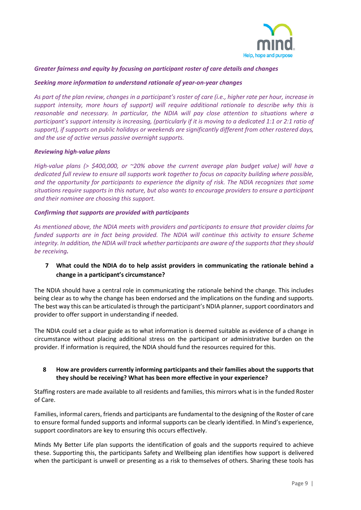

# *Greater fairness and equity by focusing on participant roster of care details and changes*

# *Seeking more information to understand rationale of year-on-year changes*

*As part of the plan review, changes in a participant's roster of care (i.e., higher rate per hour, increase in support intensity, more hours of support) will require additional rationale to describe why this is reasonable and necessary. In particular, the NDIA will pay close attention to situations where a participant's support intensity is increasing, (particularly if it is moving to a dedicated 1:1 or 2:1 ratio of support), if supports on public holidays or weekends are significantly different from other rostered days, and the use of active versus passive overnight supports.*

#### *Reviewing high-value plans*

*High-value plans (> \$400,000, or ~20% above the current average plan budget value) will have a dedicated full review to ensure all supports work together to focus on capacity building where possible, and the opportunity for participants to experience the dignity of risk. The NDIA recognizes that some situations require supports in this nature, but also wants to encourage providers to ensure a participant and their nominee are choosing this support.*

## *Confirming that supports are provided with participants*

*As mentioned above, the NDIA meets with providers and participants to ensure that provider claims for funded supports are in fact being provided. The NDIA will continue this activity to ensure Scheme integrity. In addition, the NDIA will track whether participants are aware of the supports that they should be receiving.*

# **7 What could the NDIA do to help assist providers in communicating the rationale behind a change in a participant's circumstance?**

The NDIA should have a central role in communicating the rationale behind the change. This includes being clear as to why the change has been endorsed and the implications on the funding and supports. The best way this can be articulated is through the participant's NDIA planner, support coordinators and provider to offer support in understanding if needed.

The NDIA could set a clear guide as to what information is deemed suitable as evidence of a change in circumstance without placing additional stress on the participant or administrative burden on the provider. If information is required, the NDIA should fund the resources required for this.

# **8 How are providers currently informing participants and their families about the supports that they should be receiving? What has been more effective in your experience?**

Staffing rosters are made available to all residents and families, this mirrors what is in the funded Roster of Care.

Families, informal carers, friends and participants are fundamental to the designing of the Roster of care to ensure formal funded supports and informal supports can be clearly identified. In Mind's experience, support coordinators are key to ensuring this occurs effectively.

Minds My Better Life plan supports the identification of goals and the supports required to achieve these. Supporting this, the participants Safety and Wellbeing plan identifies how support is delivered when the participant is unwell or presenting as a risk to themselves of others. Sharing these tools has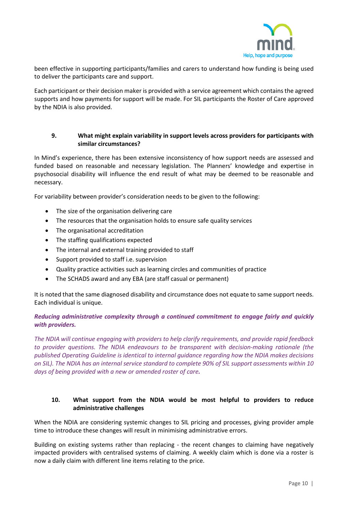

been effective in supporting participants/families and carers to understand how funding is being used to deliver the participants care and support.

Each participant or their decision maker is provided with a service agreement which contains the agreed supports and how payments for support will be made. For SIL participants the Roster of Care approved by the NDIA is also provided.

# **9. What might explain variability in support levels across providers for participants with similar circumstances?**

In Mind's experience, there has been extensive inconsistency of how support needs are assessed and funded based on reasonable and necessary legislation. The Planners' knowledge and expertise in psychosocial disability will influence the end result of what may be deemed to be reasonable and necessary.

For variability between provider's consideration needs to be given to the following:

- The size of the organisation delivering care
- The resources that the organisation holds to ensure safe quality services
- The organisational accreditation
- The staffing qualifications expected
- The internal and external training provided to staff
- Support provided to staff i.e. supervision
- Quality practice activities such as learning circles and communities of practice
- The SCHADS award and any EBA (are staff casual or permanent)

It is noted that the same diagnosed disability and circumstance does not equate to same support needs. Each individual is unique.

# *Reducing administrative complexity through a continued commitment to engage fairly and quickly with providers.*

*The NDIA will continue engaging with providers to help clarify requirements, and provide rapid feedback to provider questions. The NDIA endeavours to be transparent with decision-making rationale (the published Operating Guideline is identical to internal guidance regarding how the NDIA makes decisions on SIL). The NDIA has an internal service standard to complete 90% of SIL support assessments within 10 days of being provided with a new or amended roster of care.*

# **10. What support from the NDIA would be most helpful to providers to reduce administrative challenges**

When the NDIA are considering systemic changes to SIL pricing and processes, giving provider ample time to introduce these changes will result in minimising administrative errors.

Building on existing systems rather than replacing - the recent changes to claiming have negatively impacted providers with centralised systems of claiming. A weekly claim which is done via a roster is now a daily claim with different line items relating to the price.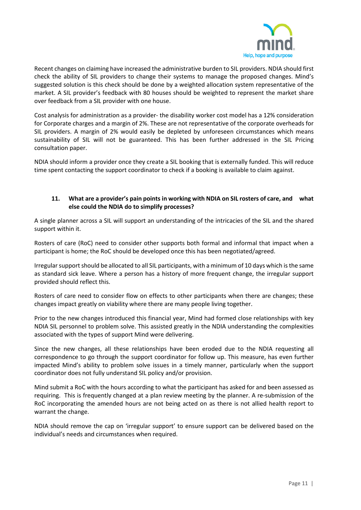

Recent changes on claiming have increased the administrative burden to SIL providers. NDIA should first check the ability of SIL providers to change their systems to manage the proposed changes. Mind's suggested solution is this check should be done by a weighted allocation system representative of the market. A SIL provider's feedback with 80 houses should be weighted to represent the market share over feedback from a SIL provider with one house.

Cost analysis for administration as a provider- the disability worker cost model has a 12% consideration for Corporate charges and a margin of 2%. These are not representative of the corporate overheads for SIL providers. A margin of 2% would easily be depleted by unforeseen circumstances which means sustainability of SIL will not be guaranteed. This has been further addressed in the SIL Pricing consultation paper.

NDIA should inform a provider once they create a SIL booking that is externally funded. This will reduce time spent contacting the support coordinator to check if a booking is available to claim against.

# **11. What are a provider's pain points in working with NDIA on SIL rosters of care, and what else could the NDIA do to simplify processes?**

A single planner across a SIL will support an understanding of the intricacies of the SIL and the shared support within it.

Rosters of care (RoC) need to consider other supports both formal and informal that impact when a participant is home; the RoC should be developed once this has been negotiated/agreed.

Irregular support should be allocated to all SIL participants, with a minimum of 10 days which is the same as standard sick leave. Where a person has a history of more frequent change, the irregular support provided should reflect this.

Rosters of care need to consider flow on effects to other participants when there are changes; these changes impact greatly on viability where there are many people living together.

Prior to the new changes introduced this financial year, Mind had formed close relationships with key NDIA SIL personnel to problem solve. This assisted greatly in the NDIA understanding the complexities associated with the types of support Mind were delivering.

Since the new changes, all these relationships have been eroded due to the NDIA requesting all correspondence to go through the support coordinator for follow up. This measure, has even further impacted Mind's ability to problem solve issues in a timely manner, particularly when the support coordinator does not fully understand SIL policy and/or provision.

Mind submit a RoC with the hours according to what the participant has asked for and been assessed as requiring. This is frequently changed at a plan review meeting by the planner. A re-submission of the RoC incorporating the amended hours are not being acted on as there is not allied health report to warrant the change.

NDIA should remove the cap on 'irregular support' to ensure support can be delivered based on the individual's needs and circumstances when required.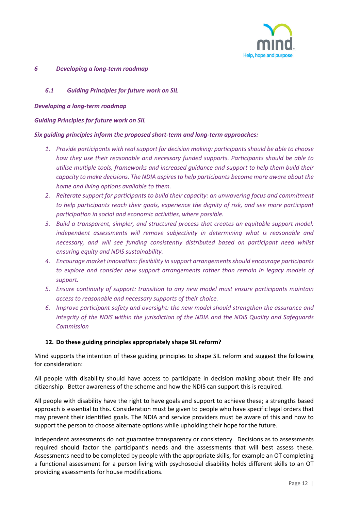

#### *6 Developing a long-term roadmap*

# *6.1 Guiding Principles for future work on SIL*

## *Developing a long-term roadmap*

## *Guiding Principles for future work on SIL*

## *Six guiding principles inform the proposed short-term and long-term approaches:*

- *1. Provide participants with real support for decision making: participants should be able to choose how they use their reasonable and necessary funded supports. Participants should be able to utilise multiple tools, frameworks and increased guidance and support to help them build their capacity to make decisions. The NDIA aspires to help participants become more aware about the home and living options available to them.*
- *2. Reiterate support for participants to build their capacity: an unwavering focus and commitment to help participants reach their goals, experience the dignity of risk, and see more participant participation in social and economic activities, where possible.*
- *3. Build a transparent, simpler, and structured process that creates an equitable support model: independent assessments will remove subjectivity in determining what is reasonable and necessary, and will see funding consistently distributed based on participant need whilst ensuring equity and NDIS sustainability.*
- *4. Encourage market innovation: flexibility in support arrangements should encourage participants to explore and consider new support arrangements rather than remain in legacy models of support.*
- *5. Ensure continuity of support: transition to any new model must ensure participants maintain access to reasonable and necessary supports of their choice.*
- *6. Improve participant safety and oversight: the new model should strengthen the assurance and integrity of the NDIS within the jurisdiction of the NDIA and the NDIS Quality and Safeguards Commission*

# **12. Do these guiding principles appropriately shape SIL reform?**

Mind supports the intention of these guiding principles to shape SIL reform and suggest the following for consideration:

All people with disability should have access to participate in decision making about their life and citizenship. Better awareness of the scheme and how the NDIS can support this is required.

All people with disability have the right to have goals and support to achieve these; a strengths based approach is essential to this. Consideration must be given to people who have specific legal orders that may prevent their identified goals. The NDIA and service providers must be aware of this and how to support the person to choose alternate options while upholding their hope for the future.

Independent assessments do not guarantee transparency or consistency. Decisions as to assessments required should factor the participant's needs and the assessments that will best assess these. Assessments need to be completed by people with the appropriate skills, for example an OT completing a functional assessment for a person living with psychosocial disability holds different skills to an OT providing assessments for house modifications.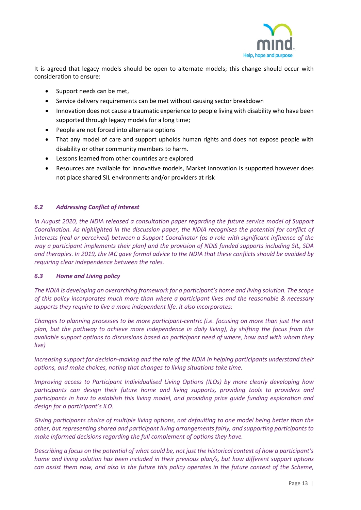

It is agreed that legacy models should be open to alternate models; this change should occur with consideration to ensure:

- Support needs can be met,
- Service delivery requirements can be met without causing sector breakdown
- Innovation does not cause a traumatic experience to people living with disability who have been supported through legacy models for a long time;
- People are not forced into alternate options
- That any model of care and support upholds human rights and does not expose people with disability or other community members to harm.
- Lessons learned from other countries are explored
- Resources are available for innovative models, Market innovation is supported however does not place shared SIL environments and/or providers at risk

# *6.2 Addressing Conflict of Interest*

*In August 2020, the NDIA released a consultation paper regarding the future service model of Support Coordination. As highlighted in the discussion paper, the NDIA recognises the potential for conflict of interests (real or perceived) between a Support Coordinator (as a role with significant influence of the way a participant implements their plan) and the provision of NDIS funded supports including SIL, SDA and therapies. In 2019, the IAC gave formal advice to the NDIA that these conflicts should be avoided by requiring clear independence between the roles.*

# *6.3 Home and Living policy*

*The NDIA is developing an overarching framework for a participant's home and living solution. The scope of this policy incorporates much more than where a participant lives and the reasonable & necessary supports they require to live a more independent life. It also incorporates:*

*Changes to planning processes to be more participant-centric (i.e. focusing on more than just the next plan, but the pathway to achieve more independence in daily living), by shifting the focus from the available support options to discussions based on participant need of where, how and with whom they live)*

*Increasing support for decision-making and the role of the NDIA in helping participants understand their options, and make choices, noting that changes to living situations take time.*

*Improving access to Participant Individualised Living Options (ILOs) by more clearly developing how participants can design their future home and living supports, providing tools to providers and participants in how to establish this living model, and providing price guide funding exploration and design for a participant's ILO.* 

*Giving participants choice of multiple living options, not defaulting to one model being better than the other, but representing shared and participant living arrangements fairly, and supporting participants to make informed decisions regarding the full complement of options they have.*

*Describing a focus on the potential of what could be, not just the historical context of how a participant's home and living solution has been included in their previous plan/s, but how different support options can assist them now, and also in the future this policy operates in the future context of the Scheme,*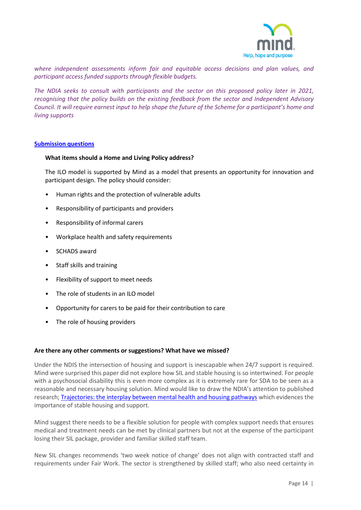

*where independent assessments inform fair and equitable access decisions and plan values, and participant access funded supports through flexible budgets.*

*The NDIA seeks to consult with participants and the sector on this proposed policy later in 2021, recognising that the policy builds on the existing feedback from the sector and Independent Advisory Council. It will require earnest input to help shape the future of the Scheme for a participant's home and living supports*

## **Submission questions**

## **What items should a Home and Living Policy address?**

The ILO model is supported by Mind as a model that presents an opportunity for innovation and participant design. The policy should consider:

- Human rights and the protection of vulnerable adults
- Responsibility of participants and providers
- Responsibility of informal carers
- Workplace health and safety requirements
- SCHADS award
- Staff skills and training
- Flexibility of support to meet needs
- The role of students in an ILO model
- Opportunity for carers to be paid for their contribution to care
- The role of housing providers

#### **Are there any other comments or suggestions? What have we missed?**

Under the NDIS the intersection of housing and support is inescapable when 24/7 support is required. Mind were surprised this paper did not explore how SIL and stable housing is so intertwined. For people with a psychosocial disability this is even more complex as it is extremely rare for SDA to be seen as a reasonable and necessary housing solution. Mind would like to draw the NDIA's attention to published research[; Trajectories: the interplay between mental health and housing pathways](https://www.ahuri.edu.au/housing/trajectories) which evidences the importance of stable housing and support.

Mind suggest there needs to be a flexible solution for people with complex support needs that ensures medical and treatment needs can be met by clinical partners but not at the expense of the participant losing their SIL package, provider and familiar skilled staff team.

New SIL changes recommends 'two week notice of change' does not align with contracted staff and requirements under Fair Work. The sector is strengthened by skilled staff; who also need certainty in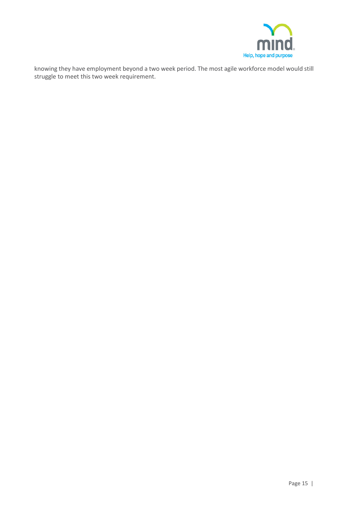

knowing they have employment beyond a two week period. The most agile workforce model would still struggle to meet this two week requirement.